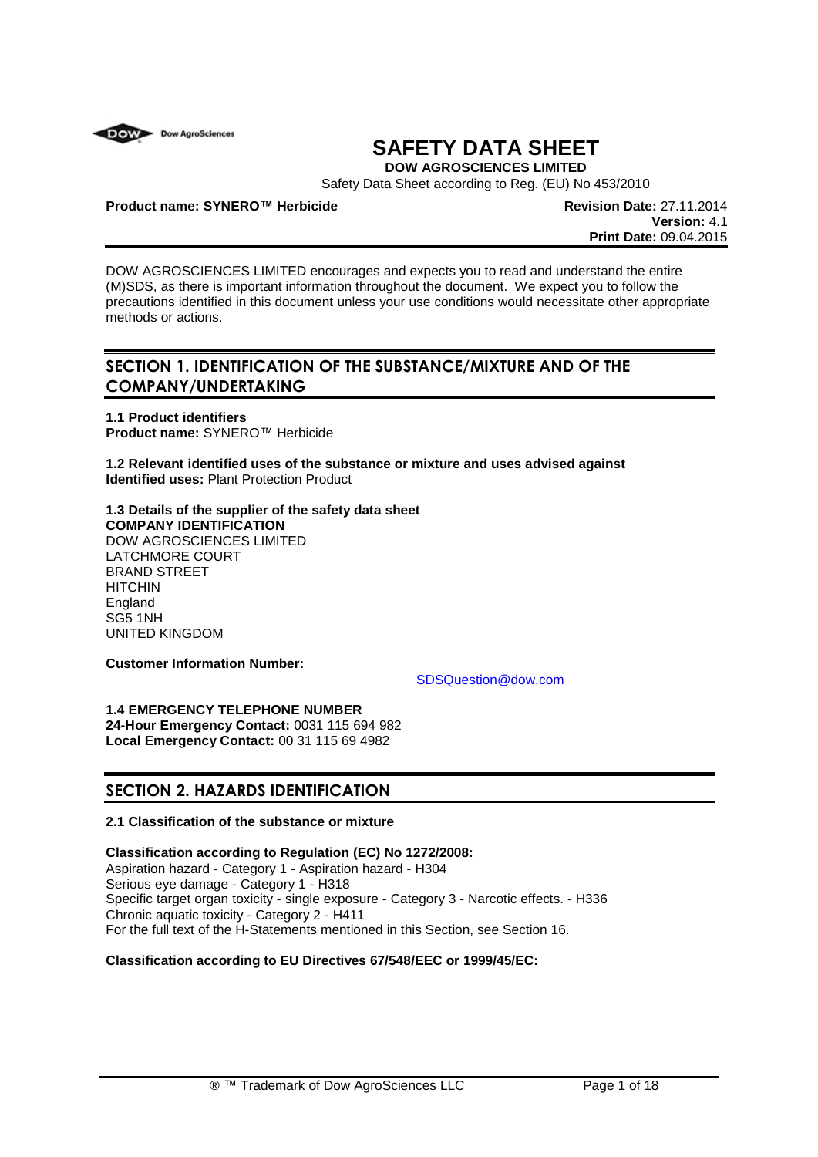

# **SAFETY DATA SHEET**

**DOW AGROSCIENCES LIMITED**

Safety Data Sheet according to Reg. (EU) No 453/2010

#### **Product name: SYNERO™ Herbicide**

 **Revision Date:** 27.11.2014 **Version:** 4.1 **Print Date:** 09.04.2015

DOW AGROSCIENCES LIMITED encourages and expects you to read and understand the entire (M)SDS, as there is important information throughout the document. We expect you to follow the precautions identified in this document unless your use conditions would necessitate other appropriate s methods or actions.

### SECTION 1. IDENTIFICATION OF THE SUBSTANCE/MIXTURE AND OF THE **COMPANY/UNDERTAKING**

**1.1 Product identifiers Product name:** SYNERO™ Herbicide

**1.2 Relevant identified uses of the substance or mixture and uses advised against advised Identified uses:** Plant Protection Product

### **1.3 Details of the supplier of the safety data sheet COMPANY IDENTIFICATION**

DOW AGROSCIENCES LIMITED LATCHMORE COURT BRAND STREET **HITCHIN England** SG5 1NH UNITED KINGDOM

**Customer Information Number:**

SDSQuestion@dow.com

**1.4 EMERGENCY TELEPHONE NUMBER**

**24-Hour Emergency Contact: :** 0031 115 694 982 **Local Emergency Contact:** 00 31 115 69 4982

### **SECTION 2. HAZARDS IDENTIFIC IDENTIFICATION**

#### **2.1 Classification of the substance or mixture**

**Classification according to Regulation (EC) No 1272/2008:**

Aspiration hazard - Category 1 - Aspiration hazard - H304 Serious eye damage - Category 1 - H318 Specific target organ toxicity - single exposure - Category 3 - Narcotic effects. - H336 Chronic aquatic toxicity - Category 2 - H411 For the full text of the H-Statements mentioned in this Section, see Section 16.

#### **Classification according to EU Directives 67/548 67/548/EEC or 1999/45/EC:**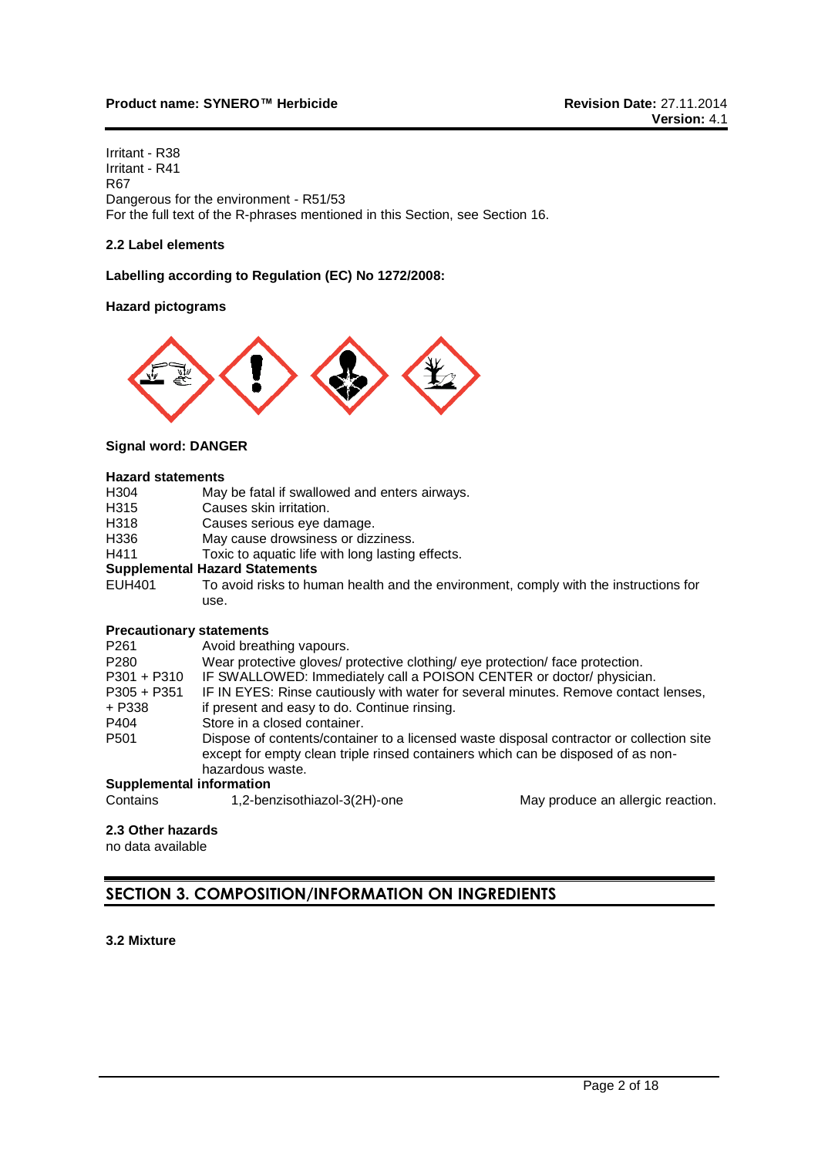#### **Product name: SYNERO™ Herbicide**

Irritant - R38 Irritant - R41 R67 Dangerous for the environment - R51/53 For the full text of the R-phrases mentioned in this Section, see Section 16.

### **2.2 Label elements**

#### **Labelling according to Regulation (EC) No 1272/2008:**

#### **Hazard pictograms**



#### **Signal word: DANGER**

#### **Hazard statements**

|                                 | For the full text of the R-phrases mentioned in this Section, see Section 16.                                                                                                                    |  |  |
|---------------------------------|--------------------------------------------------------------------------------------------------------------------------------------------------------------------------------------------------|--|--|
| 2.2 Label elements              |                                                                                                                                                                                                  |  |  |
|                                 | Labelling according to Regulation (EC) No 1272/2008:                                                                                                                                             |  |  |
| <b>Hazard pictograms</b>        |                                                                                                                                                                                                  |  |  |
|                                 |                                                                                                                                                                                                  |  |  |
| <b>Signal word: DANGER</b>      |                                                                                                                                                                                                  |  |  |
| <b>Hazard statements</b>        |                                                                                                                                                                                                  |  |  |
| H304                            | May be fatal if swallowed and enters airways.                                                                                                                                                    |  |  |
| H315                            | Causes skin irritation.                                                                                                                                                                          |  |  |
| H318<br>H336                    | Causes serious eye damage.                                                                                                                                                                       |  |  |
| H411                            | May cause drowsiness or dizziness.<br>Toxic to aquatic life with long lasting effects.                                                                                                           |  |  |
|                                 | <b>Supplemental Hazard Statements</b>                                                                                                                                                            |  |  |
| <b>EUH401</b>                   | To avoid risks to human health and the environment, comply with the instructions for<br>use.                                                                                                     |  |  |
| <b>Precautionary statements</b> |                                                                                                                                                                                                  |  |  |
| P261                            | Avoid breathing vapours.                                                                                                                                                                         |  |  |
| P280<br>P301 + P310             | Wear protective gloves/ protective clothing/ eye protection/ face protection.<br>IF SWALLOWED: Immediately call a POISON CENTER or doctor/ physician.                                            |  |  |
| P305 + P351                     | IF IN EYES: Rinse cautiously with water for several minutes. Remove contact lenses,                                                                                                              |  |  |
| + P338                          | if present and easy to do. Continue rinsing.                                                                                                                                                     |  |  |
| P404                            | Store in a closed container.                                                                                                                                                                     |  |  |
| P501                            | Dispose of contents/container to a licensed waste disposal contractor or collection site<br>except for empty clean triple rinsed containers which can be disposed of as non-<br>hazardous waste. |  |  |

#### **Precautionary statements**

| <u>, , couutional y statements</u> |                                                                                                                                                                                                  |
|------------------------------------|--------------------------------------------------------------------------------------------------------------------------------------------------------------------------------------------------|
| P <sub>261</sub>                   | Avoid breathing vapours.                                                                                                                                                                         |
| P <sub>280</sub>                   | Wear protective gloves/ protective clothing/ eye protection/ face protection.                                                                                                                    |
| $P301 + P310$                      | IF SWALLOWED: Immediately call a POISON CENTER or doctor/ physician.                                                                                                                             |
| $P305 + P351$                      | IF IN EYES: Rinse cautiously with water for several minutes. Remove contact lenses,                                                                                                              |
| $+ P338$                           | if present and easy to do. Continue rinsing.                                                                                                                                                     |
| P404                               | Store in a closed container.                                                                                                                                                                     |
| P <sub>501</sub>                   | Dispose of contents/container to a licensed waste disposal contractor or collection site<br>except for empty clean triple rinsed containers which can be disposed of as non-<br>hazardous waste. |
| <b>Supplemental information</b>    |                                                                                                                                                                                                  |

**Supplement**<br>Contains 1,2-benzisothiazol-3(2H)-one

benzisothiazol-3(2H)-one May produce an allergic reaction.

#### **2.3 Other hazards**

no data available

### **SECTION 3. COMPOSITION/INFOR COMPOSITION/INFORMATION ON INGREDIENTS**

**3.2 Mixture**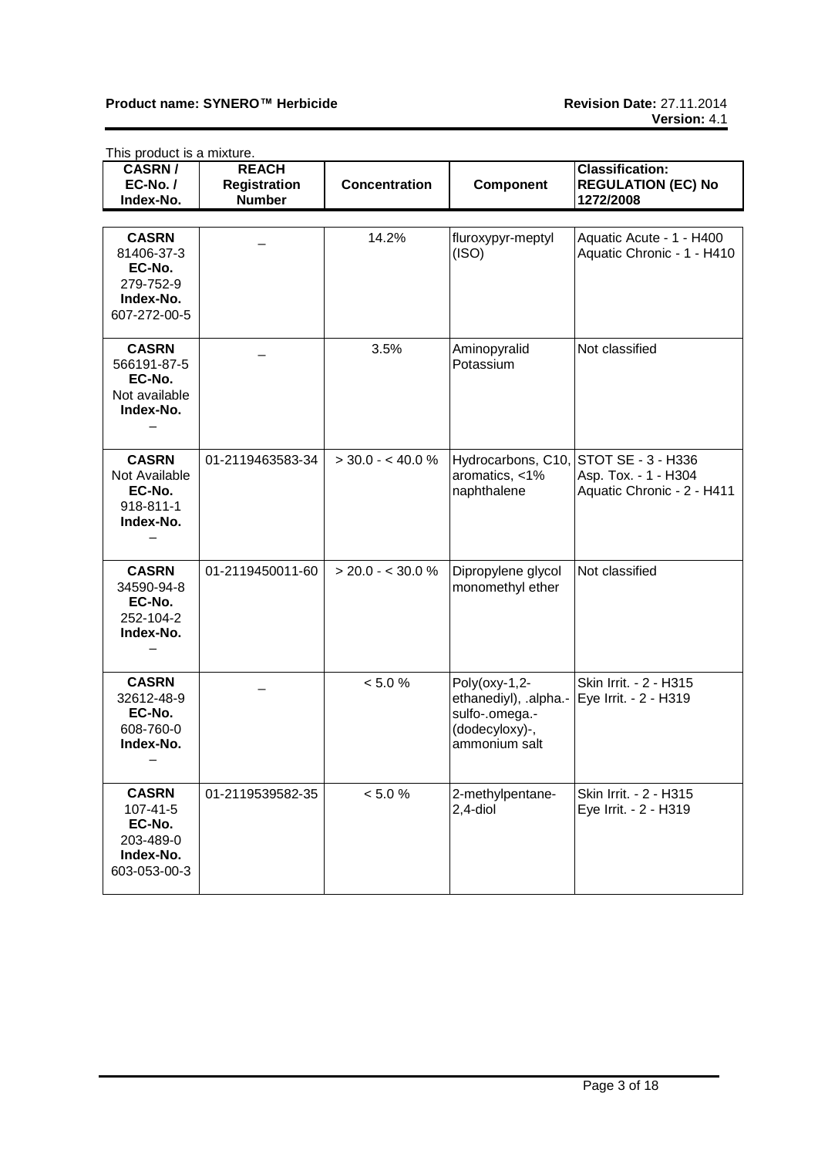| This product is a mixture.                                                     |                                                      |                      |                                                                                             |                                                                          |
|--------------------------------------------------------------------------------|------------------------------------------------------|----------------------|---------------------------------------------------------------------------------------------|--------------------------------------------------------------------------|
| <b>CASRN/</b><br>$EC-No. /$<br>Index-No.                                       | <b>REACH</b><br><b>Registration</b><br><b>Number</b> | <b>Concentration</b> | <b>Component</b>                                                                            | <b>Classification:</b><br><b>REGULATION (EC) No</b><br>1272/2008         |
|                                                                                |                                                      |                      |                                                                                             |                                                                          |
| <b>CASRN</b><br>81406-37-3<br>EC-No.<br>279-752-9<br>Index-No.<br>607-272-00-5 |                                                      | 14.2%                | fluroxypyr-meptyl<br>(ISO)                                                                  | Aquatic Acute - 1 - H400<br>Aquatic Chronic - 1 - H410                   |
| <b>CASRN</b><br>566191-87-5<br>EC-No.<br>Not available<br>Index-No.            |                                                      | 3.5%                 | Aminopyralid<br>Potassium                                                                   | Not classified                                                           |
| <b>CASRN</b><br>Not Available<br>EC-No.<br>918-811-1<br>Index-No.              | 01-2119463583-34                                     | $>$ 30.0 - < 40.0 %  | Hydrocarbons, C10,<br>aromatics, <1%<br>naphthalene                                         | STOT SE - 3 - H336<br>Asp. Tox. - 1 - H304<br>Aquatic Chronic - 2 - H411 |
| <b>CASRN</b><br>34590-94-8<br>EC-No.<br>252-104-2<br>Index-No.                 | 01-2119450011-60                                     | $>$ 20.0 - < 30.0 %  | Dipropylene glycol<br>monomethyl ether                                                      | Not classified                                                           |
| <b>CASRN</b><br>32612-48-9<br>EC-No.<br>608-760-0<br>Index-No.                 |                                                      | < 5.0 %              | Poly(oxy-1,2-<br>ethanediyl), .alpha.-<br>sulfo-.omega.-<br>(dodecyloxy)-,<br>ammonium salt | Skin Irrit. - 2 - H315<br>Eye Irrit. - 2 - H319                          |
| <b>CASRN</b><br>107-41-5<br>EC-No.<br>203-489-0<br>Index-No.<br>603-053-00-3   | 01-2119539582-35                                     | < 5.0 %              | 2-methylpentane-<br>$2,4$ -diol                                                             | Skin Irrit. - 2 - H315<br>Eye Irrit. - 2 - H319                          |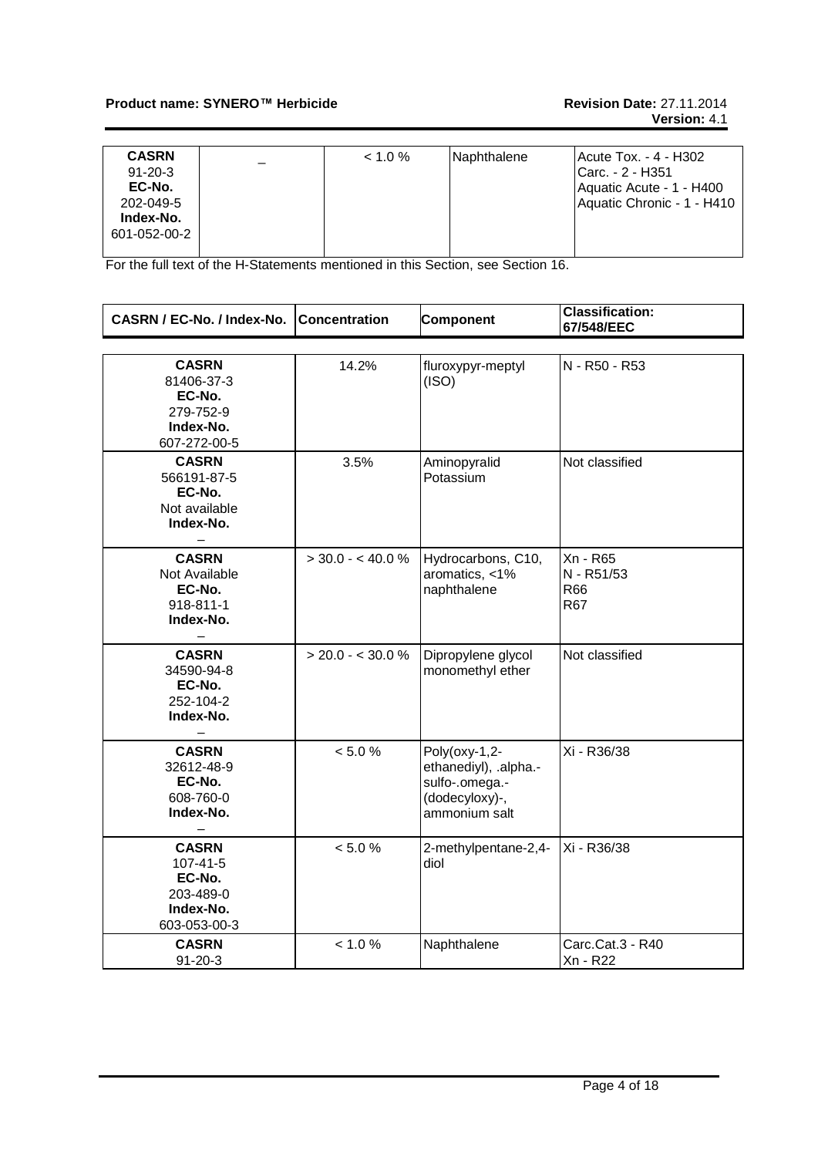| <b>CASRN</b>  | $< 1.0 \%$ | Naphthalene | Acute Tox. - 4 - H302      |
|---------------|------------|-------------|----------------------------|
| $91 - 20 - 3$ |            |             | Carc. - 2 - H351           |
| EC-No.        |            |             | Aquatic Acute - 1 - H400   |
| 202-049-5     |            |             | Aquatic Chronic - 1 - H410 |
| Index-No.     |            |             |                            |
| 601-052-00-2  |            |             |                            |
|               |            |             |                            |

For the full text of the H-Statements mentioned in this Section, see Section 16.

| CASRN / EC-No. / Index-No. Concentration                                           |                     | <b>Component</b>                                                                            | <b>Classification:</b><br>67/548/EEC        |
|------------------------------------------------------------------------------------|---------------------|---------------------------------------------------------------------------------------------|---------------------------------------------|
|                                                                                    |                     |                                                                                             |                                             |
| <b>CASRN</b><br>81406-37-3<br>EC-No.<br>279-752-9<br>Index-No.<br>607-272-00-5     | 14.2%               | fluroxypyr-meptyl<br>(ISO)                                                                  | N - R50 - R53                               |
| <b>CASRN</b><br>566191-87-5<br>EC-No.<br>Not available<br>Index-No.                | 3.5%                | Aminopyralid<br>Potassium                                                                   | Not classified                              |
| <b>CASRN</b><br>Not Available<br>EC-No.<br>918-811-1<br>Index-No.                  | $>$ 30.0 - < 40.0 % | Hydrocarbons, C10,<br>aromatics, <1%<br>naphthalene                                         | Xn - R65<br>N - R51/53<br>R66<br><b>R67</b> |
| <b>CASRN</b><br>34590-94-8<br>EC-No.<br>252-104-2<br>Index-No.                     | $>$ 20.0 - < 30.0 % | Dipropylene glycol<br>monomethyl ether                                                      | Not classified                              |
| <b>CASRN</b><br>32612-48-9<br>EC-No.<br>608-760-0<br>Index-No.                     | < 5.0 %             | Poly(oxy-1,2-<br>ethanediyl), .alpha.-<br>sulfo-.omega.-<br>(dodecyloxy)-,<br>ammonium salt | Xi - R36/38                                 |
| <b>CASRN</b><br>$107 - 41 - 5$<br>EC-No.<br>203-489-0<br>Index-No.<br>603-053-00-3 | < 5.0 %             | 2-methylpentane-2,4-<br>diol                                                                | Xi - R36/38                                 |
| <b>CASRN</b><br>$91 - 20 - 3$                                                      | < 1.0 %             | Naphthalene                                                                                 | Carc.Cat.3 - R40<br>Xn - R22                |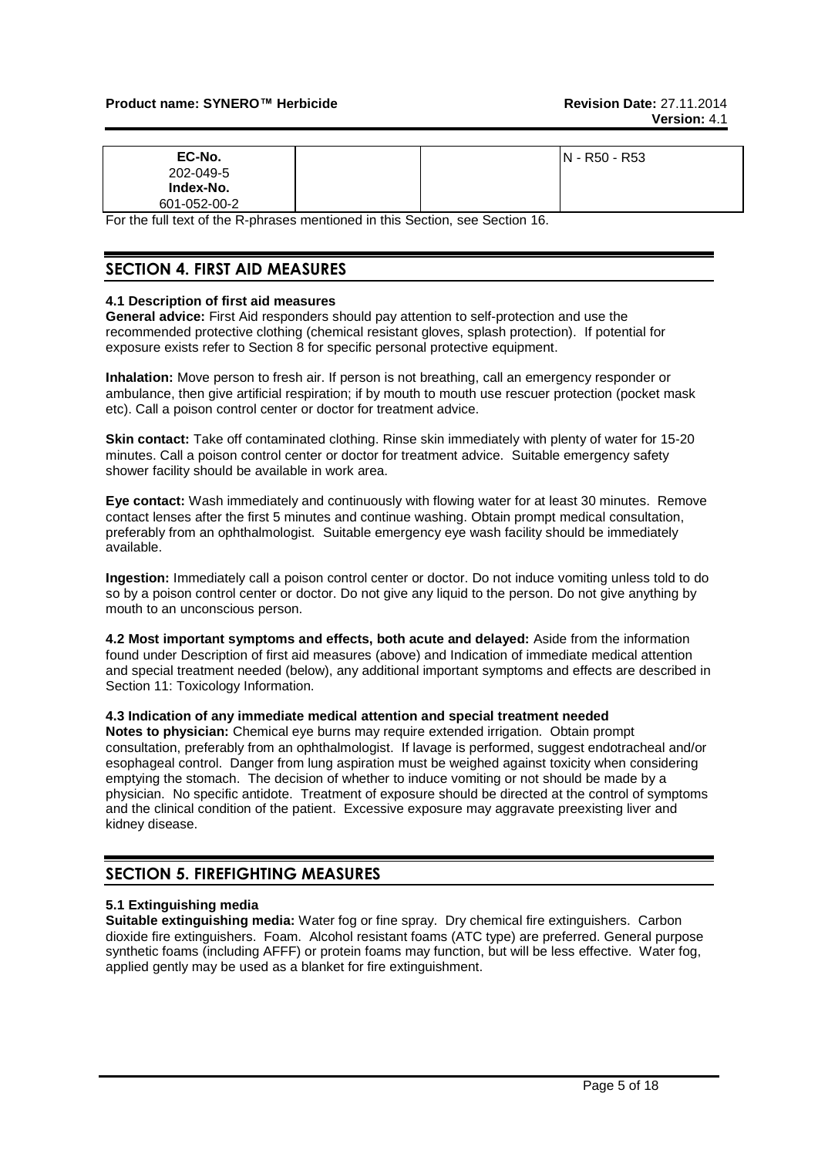| EC-No.       |  | IN - R50 - R53 |
|--------------|--|----------------|
| 202-049-5    |  |                |
| Index-No.    |  |                |
| 601-052-00-2 |  |                |

For the full text of the R-phrases mentioned in this Section, see Section 16.

### **SECTION 4. FIRST AID MEASURES**

#### **4.1 Description of first aid measures**

**General advice:** First Aid responders should pay attention to self-protection and use the recommended protective clothing (chemical resistant gloves, splash protection). If potential for exposure exists refer to Section 8 for specific personal protective equipment.

**Inhalation:** Move person to fresh air. If person is not breathing, call an emergency responder or ambulance, then give artificial respiration; if by mouth to mouth use rescuer protection (pocket mask etc). Call a poison control center or doctor for treatment advice.

**Skin contact:** Take off contaminated clothing. Rinse skin immediately with plenty of water for 15-20 minutes. Call a poison control center or doctor for treatment advice. Suitable emergency safety shower facility should be available in work area.

**Eye contact:** Wash immediately and continuously with flowing water for at least 30 minutes. Remove contact lenses after the first 5 minutes and continue washing. Obtain prompt medical consultation, preferably from an ophthalmologist. Suitable emergency eye wash facility should be immediately available.

**Ingestion:** Immediately call a poison control center or doctor. Do not induce vomiting unless told to do so by a poison control center or doctor. Do not give any liquid to the person. Do not give anything by mouth to an unconscious person.

**4.2 Most important symptoms and effects, both acute and delayed:** Aside from the information found under Description of first aid measures (above) and Indication of immediate medical attention and special treatment needed (below), any additional important symptoms and effects are described in Section 11: Toxicology Information.

#### **4.3 Indication of any immediate medical attention and special treatment needed**

**Notes to physician:** Chemical eye burns may require extended irrigation. Obtain prompt consultation, preferably from an ophthalmologist. If lavage is performed, suggest endotracheal and/or esophageal control. Danger from lung aspiration must be weighed against toxicity when considering emptying the stomach. The decision of whether to induce vomiting or not should be made by a physician. No specific antidote. Treatment of exposure should be directed at the control of symptoms and the clinical condition of the patient. Excessive exposure may aggravate preexisting liver and kidney disease.

### **SECTION 5. FIREFIGHTING MEASURES**

#### **5.1 Extinguishing media**

**Suitable extinguishing media:** Water fog or fine spray. Dry chemical fire extinguishers. Carbon dioxide fire extinguishers. Foam. Alcohol resistant foams (ATC type) are preferred. General purpose synthetic foams (including AFFF) or protein foams may function, but will be less effective. Water fog, applied gently may be used as a blanket for fire extinguishment.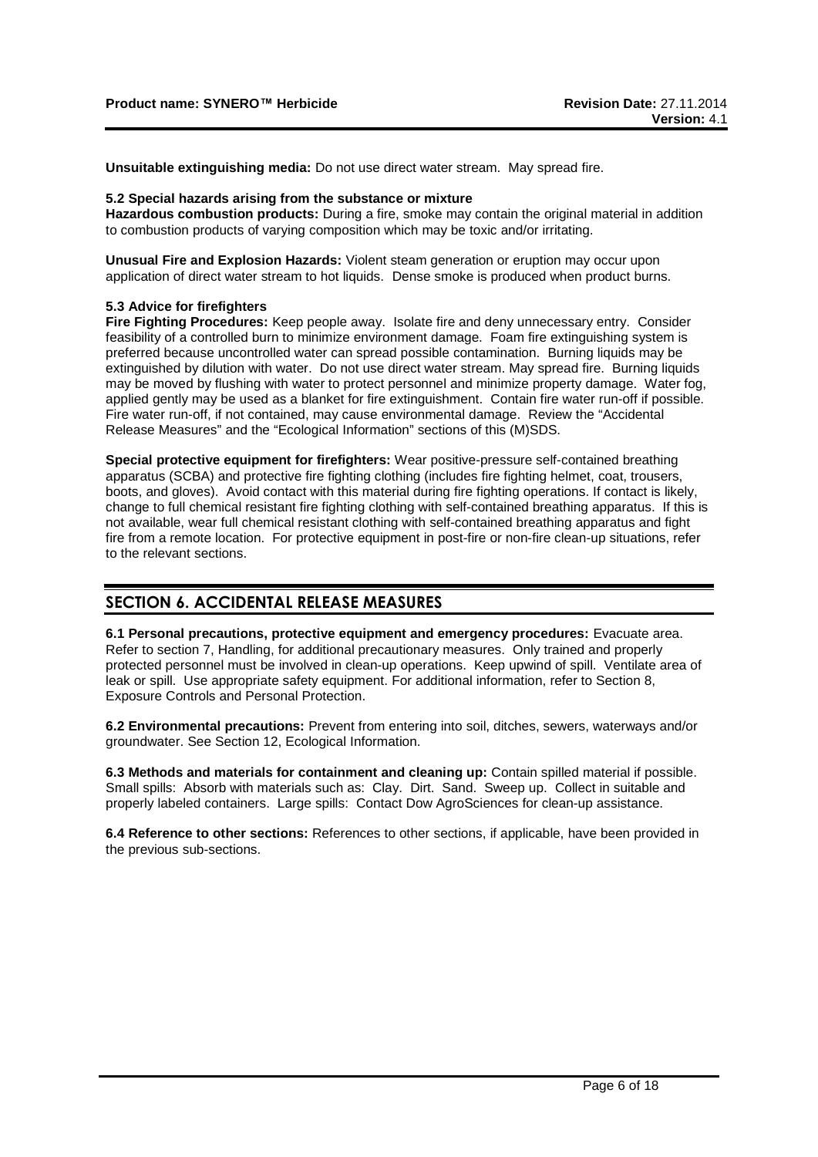**Unsuitable extinguishing media:** Do not use direct water stream. May spread fire.

#### **5.2 Special hazards arising from the substance or mixture**

**Hazardous combustion products:** During a fire, smoke may contain the original material in addition to combustion products of varying composition which may be toxic and/or irritating.

**Unusual Fire and Explosion Hazards:** Violent steam generation or eruption may occur upon application of direct water stream to hot liquids. Dense smoke is produced when product burns.

#### **5.3 Advice for firefighters**

**Fire Fighting Procedures:** Keep people away. Isolate fire and deny unnecessary entry. Consider feasibility of a controlled burn to minimize environment damage. Foam fire extinguishing system is preferred because uncontrolled water can spread possible contamination. Burning liquids may be extinguished by dilution with water. Do not use direct water stream. May spread fire. Burning liquids may be moved by flushing with water to protect personnel and minimize property damage. Water fog, applied gently may be used as a blanket for fire extinguishment. Contain fire water run-off if possible. Fire water run-off, if not contained, may cause environmental damage. Review the "Accidental Release Measures" and the "Ecological Information" sections of this (M)SDS.

**Special protective equipment for firefighters:** Wear positive-pressure self-contained breathing apparatus (SCBA) and protective fire fighting clothing (includes fire fighting helmet, coat, trousers, boots, and gloves). Avoid contact with this material during fire fighting operations. If contact is likely, change to full chemical resistant fire fighting clothing with self-contained breathing apparatus. If this is not available, wear full chemical resistant clothing with self-contained breathing apparatus and fight fire from a remote location. For protective equipment in post-fire or non-fire clean-up situations, refer to the relevant sections.

### **SECTION 6. ACCIDENTAL RELEASE MEASURES**

**6.1 Personal precautions, protective equipment and emergency procedures:** Evacuate area. Refer to section 7, Handling, for additional precautionary measures. Only trained and properly protected personnel must be involved in clean-up operations. Keep upwind of spill. Ventilate area of leak or spill. Use appropriate safety equipment. For additional information, refer to Section 8, Exposure Controls and Personal Protection.

**6.2 Environmental precautions:** Prevent from entering into soil, ditches, sewers, waterways and/or groundwater. See Section 12, Ecological Information.

**6.3 Methods and materials for containment and cleaning up:** Contain spilled material if possible. Small spills: Absorb with materials such as: Clay. Dirt. Sand. Sweep up. Collect in suitable and properly labeled containers. Large spills: Contact Dow AgroSciences for clean-up assistance.

**6.4 Reference to other sections:** References to other sections, if applicable, have been provided in the previous sub-sections.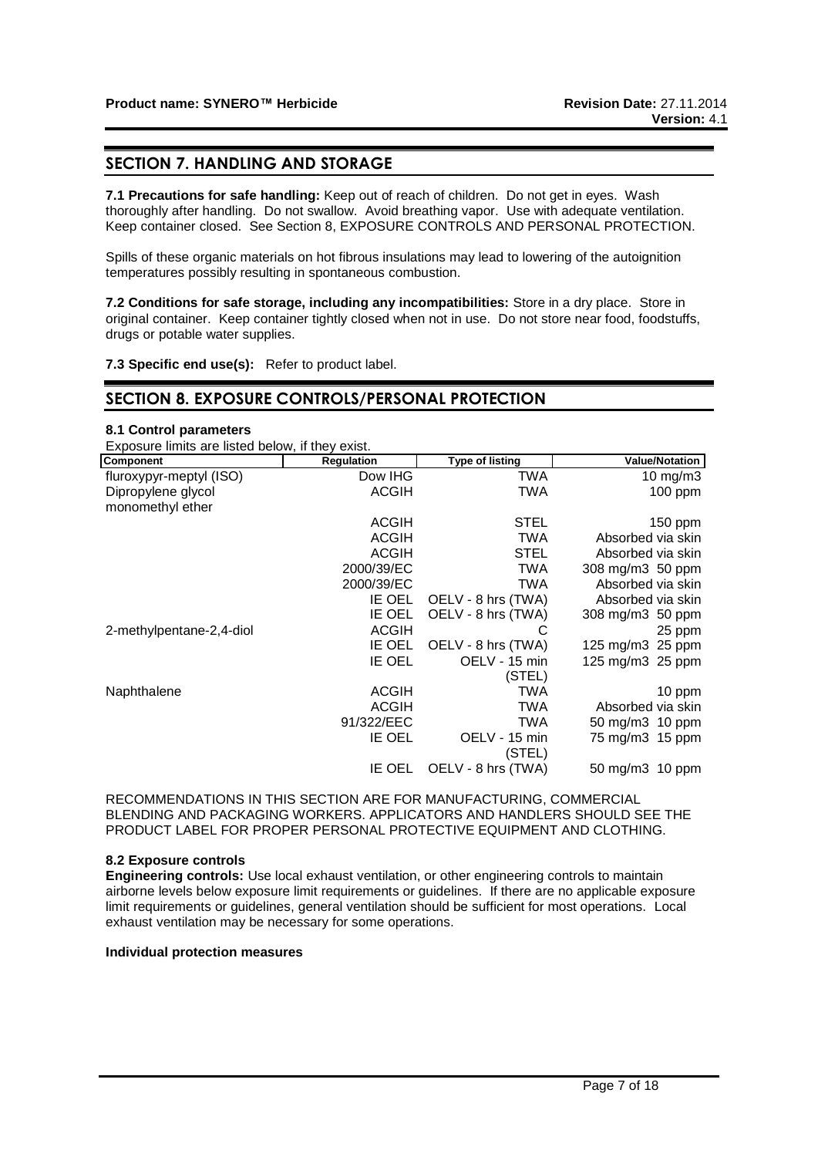### **SECTION 7. HANDLING AND STORAGE**

**7.1 Precautions for safe handling:** Keep out of reach of children. Do not get in eyes. Wash thoroughly after handling. Do not swallow. Avoid breathing vapor. Use with adequate ventilation. Keep container closed. See Section 8, EXPOSURE CONTROLS AND PERSONAL PROTECTION.

Spills of these organic materials on hot fibrous insulations may lead to lowering of the autoignition temperatures possibly resulting in spontaneous combustion.

**7.2 Conditions for safe storage, including any incompatibilities:** Store in a dry place. Store in original container. Keep container tightly closed when not in use. Do not store near food, foodstuffs, drugs or potable water supplies.

**7.3 Specific end use(s):** Refer to product label.

#### **SECTION 8. EXPOSURE CONTROLS/PERSONAL PROTECTION**

#### **8.1 Control parameters**

Exposure limits are listed below, if they exist.

| Component                | Regulation    | <b>Type of listing</b>  | <b>Value/Notation</b> |
|--------------------------|---------------|-------------------------|-----------------------|
| fluroxypyr-meptyl (ISO)  | Dow IHG       | <b>TWA</b>              | 10 mg/m $3$           |
| Dipropylene glycol       | <b>ACGIH</b>  | TWA                     | $100$ ppm             |
| monomethyl ether         |               |                         |                       |
|                          | <b>ACGIH</b>  | <b>STEL</b>             | $150$ ppm             |
|                          | <b>ACGIH</b>  | <b>TWA</b>              | Absorbed via skin     |
|                          | <b>ACGIH</b>  | <b>STEL</b>             | Absorbed via skin     |
|                          | 2000/39/EC    | <b>TWA</b>              | 308 mg/m3 50 ppm      |
|                          | 2000/39/EC    | TWA                     | Absorbed via skin     |
|                          | IE OEL        | OELV - 8 hrs (TWA)      | Absorbed via skin     |
|                          | IE OEL        | OELV - 8 hrs (TWA)      | 308 mg/m3 50 ppm      |
| 2-methylpentane-2,4-diol | <b>ACGIH</b>  | С                       | 25 ppm                |
|                          | IE OEL        | OELV - 8 hrs (TWA)      | 125 mg/m $3\,$ 25 ppm |
|                          | <b>IE OEL</b> | OELV - 15 min           | 125 mg/m3 25 ppm      |
|                          |               | (STEL)                  |                       |
| Naphthalene              | <b>ACGIH</b>  | <b>TWA</b>              | 10 ppm                |
|                          | <b>ACGIH</b>  | <b>TWA</b>              | Absorbed via skin     |
|                          | 91/322/EEC    | <b>TWA</b>              | 50 mg/m3 10 ppm       |
|                          | <b>IE OEL</b> | OELV - 15 min<br>(STEL) | 75 mg/m3 15 ppm       |
|                          | IE OEL        | OELV - 8 hrs (TWA)      | 50 mg/m3 10 ppm       |

RECOMMENDATIONS IN THIS SECTION ARE FOR MANUFACTURING, COMMERCIAL BLENDING AND PACKAGING WORKERS. APPLICATORS AND HANDLERS SHOULD SEE THE PRODUCT LABEL FOR PROPER PERSONAL PROTECTIVE EQUIPMENT AND CLOTHING.

#### **8.2 Exposure controls**

**Engineering controls:** Use local exhaust ventilation, or other engineering controls to maintain airborne levels below exposure limit requirements or guidelines. If there are no applicable exposure limit requirements or guidelines, general ventilation should be sufficient for most operations. Local exhaust ventilation may be necessary for some operations.

**Individual protection measures**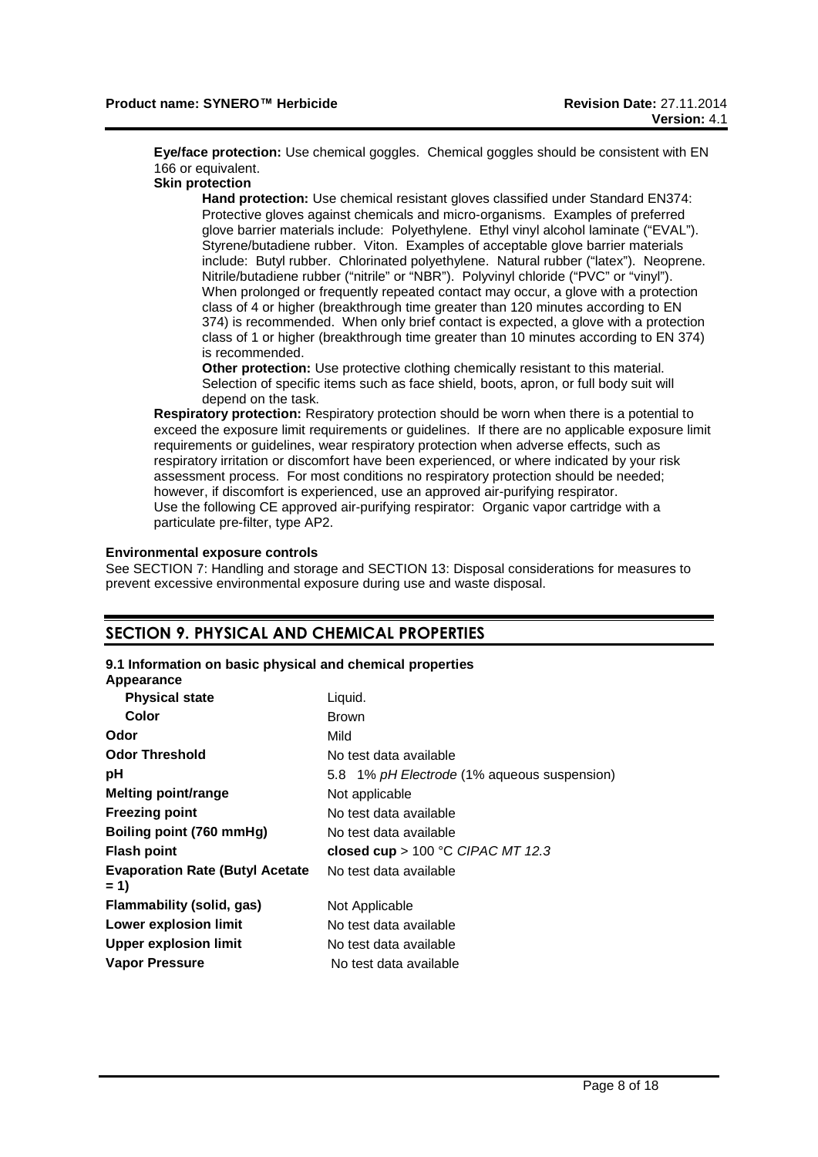**Eye/face protection:** Use chemical goggles. Chemical goggles should be consistent with EN 166 or equivalent.

#### **Skin protection**

**Hand protection:** Use chemical resistant gloves classified under Standard EN374: Protective gloves against chemicals and micro-organisms. Examples of preferred glove barrier materials include: Polyethylene. Ethyl vinyl alcohol laminate ("EVAL"). Styrene/butadiene rubber. Viton. Examples of acceptable glove barrier materials include: Butyl rubber. Chlorinated polyethylene. Natural rubber ("latex"). Neoprene. Nitrile/butadiene rubber ("nitrile" or "NBR"). Polyvinyl chloride ("PVC" or "vinyl"). When prolonged or frequently repeated contact may occur, a glove with a protection class of 4 or higher (breakthrough time greater than 120 minutes according to EN 374) is recommended. When only brief contact is expected, a glove with a protection class of 1 or higher (breakthrough time greater than 10 minutes according to EN 374) is recommended.

**Other protection:** Use protective clothing chemically resistant to this material. Selection of specific items such as face shield, boots, apron, or full body suit will depend on the task.

**Respiratory protection:** Respiratory protection should be worn when there is a potential to exceed the exposure limit requirements or guidelines. If there are no applicable exposure limit requirements or guidelines, wear respiratory protection when adverse effects, such as respiratory irritation or discomfort have been experienced, or where indicated by your risk assessment process. For most conditions no respiratory protection should be needed; however, if discomfort is experienced, use an approved air-purifying respirator. Use the following CE approved air-purifying respirator: Organic vapor cartridge with a particulate pre-filter, type AP2.

#### **Environmental exposure controls**

See SECTION 7: Handling and storage and SECTION 13: Disposal considerations for measures to prevent excessive environmental exposure during use and waste disposal.

### **SECTION 9. PHYSICAL AND CHEMICAL PROPERTIES**

#### **9.1 Information on basic physical and chemical properties**

| Appearance |  |
|------------|--|
|            |  |

| <b>Appearance</b>                               |                                             |
|-------------------------------------------------|---------------------------------------------|
| <b>Physical state</b>                           | Liquid.                                     |
| Color                                           | <b>Brown</b>                                |
| Odor                                            | Mild                                        |
| <b>Odor Threshold</b>                           | No test data available                      |
| рH                                              | 5.8 1% pH Electrode (1% aqueous suspension) |
| Melting point/range                             | Not applicable                              |
| <b>Freezing point</b>                           | No test data available                      |
| Boiling point (760 mmHg)                        | No test data available                      |
| <b>Flash point</b>                              | closed cup > $100 °C$ CIPAC MT 12.3         |
| <b>Evaporation Rate (Butyl Acetate</b><br>$= 1$ | No test data available                      |
| Flammability (solid, gas)                       | Not Applicable                              |
| <b>Lower explosion limit</b>                    | No test data available                      |
| <b>Upper explosion limit</b>                    | No test data available                      |
| <b>Vapor Pressure</b>                           | No test data available                      |
|                                                 |                                             |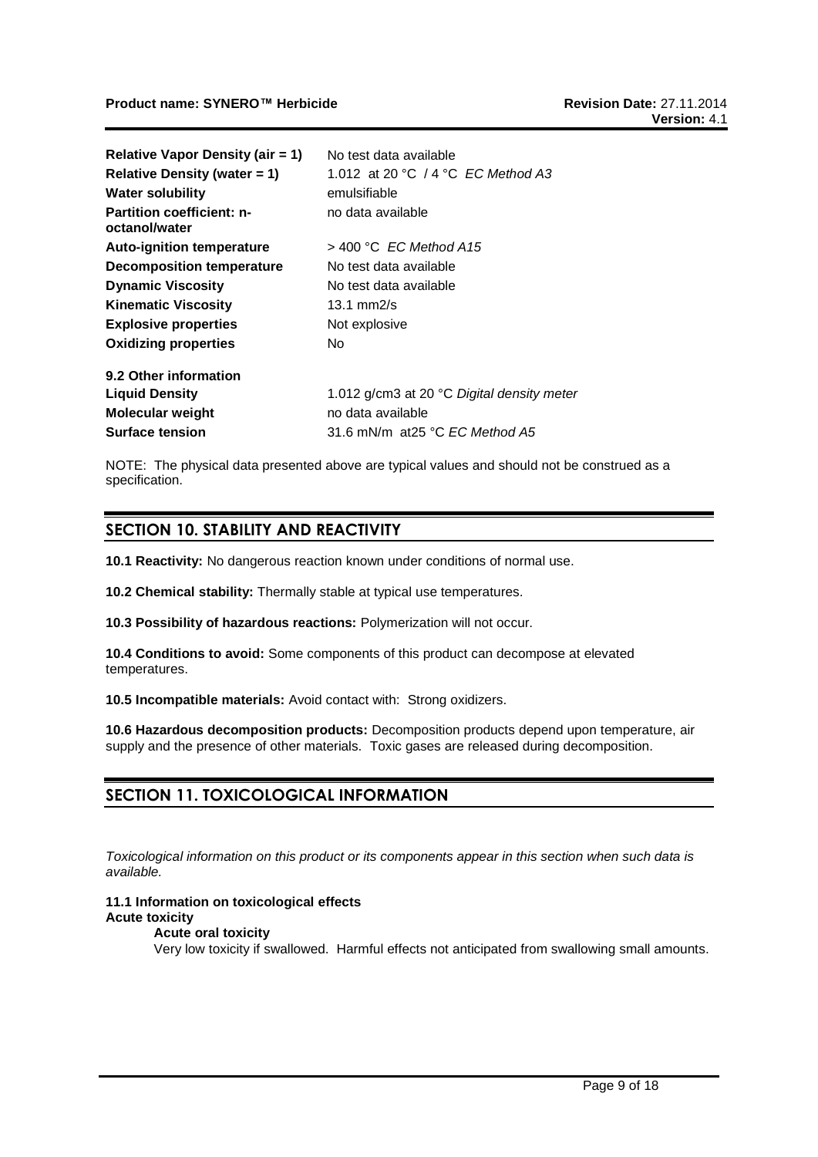| <b>Relative Vapor Density (air = 1)</b>           | No test data available                          |
|---------------------------------------------------|-------------------------------------------------|
| Relative Density (water $= 1$ )                   | 1.012 at 20 °C / 4 °C EC Method A3              |
| <b>Water solubility</b>                           | emulsifiable                                    |
| <b>Partition coefficient: n-</b><br>octanol/water | no data available                               |
| <b>Auto-ignition temperature</b>                  | $>$ 400 °C EC Method A15                        |
| <b>Decomposition temperature</b>                  | No test data available                          |
| <b>Dynamic Viscosity</b>                          | No test data available                          |
| <b>Kinematic Viscosity</b>                        | 13.1 mm2/s                                      |
| <b>Explosive properties</b>                       | Not explosive                                   |
| <b>Oxidizing properties</b>                       | No.                                             |
| 9.2 Other information                             |                                                 |
| <b>Liquid Density</b>                             | 1.012 g/cm3 at 20 °C Digital density meter      |
| <b>Molecular weight</b>                           | no data available                               |
| <b>Surface tension</b>                            | 31.6 mN/m at 25 $\degree$ C <i>EC Method A5</i> |

NOTE: The physical data presented above are typical values and should not be construed as a specification.

### **SECTION 10. STABILITY AND REACTIVITY**

**10.1 Reactivity:** No dangerous reaction known under conditions of normal use.

**10.2 Chemical stability:** Thermally stable at typical use temperatures.

**10.3 Possibility of hazardous reactions:** Polymerization will not occur.

**10.4 Conditions to avoid:** Some components of this product can decompose at elevated temperatures.

**10.5 Incompatible materials:** Avoid contact with: Strong oxidizers.

**10.6 Hazardous decomposition products:** Decomposition products depend upon temperature, air supply and the presence of other materials. Toxic gases are released during decomposition.

### **SECTION 11. TOXICOLOGICAL INFORMATION**

*Toxicological information on this product or its components appear in this section when such data is available.*

#### **11.1 Information on toxicological effects Acute toxicity**

#### **Acute oral toxicity**

Very low toxicity if swallowed. Harmful effects not anticipated from swallowing small amounts.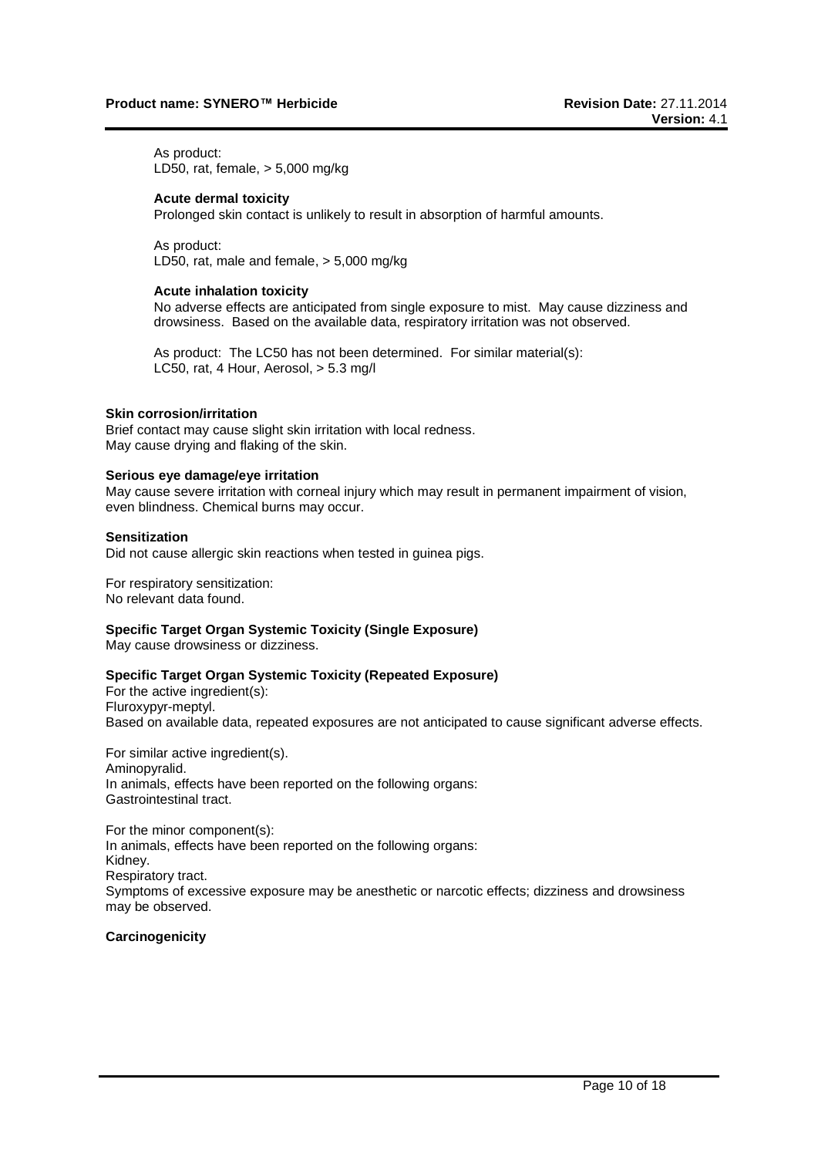As product: LD50, rat, female, > 5,000 mg/kg

#### **Acute dermal toxicity**

Prolonged skin contact is unlikely to result in absorption of harmful amounts.

As product: LD50, rat, male and female, > 5,000 mg/kg

#### **Acute inhalation toxicity**

No adverse effects are anticipated from single exposure to mist. May cause dizziness and drowsiness. Based on the available data, respiratory irritation was not observed.

As product: The LC50 has not been determined. For similar material(s): LC50, rat, 4 Hour, Aerosol, > 5.3 mg/l

#### **Skin corrosion/irritation**

Brief contact may cause slight skin irritation with local redness. May cause drying and flaking of the skin.

#### **Serious eye damage/eye irritation**

May cause severe irritation with corneal injury which may result in permanent impairment of vision, even blindness. Chemical burns may occur.

#### **Sensitization**

Did not cause allergic skin reactions when tested in guinea pigs.

For respiratory sensitization: No relevant data found.

## **Specific Target Organ Systemic Toxicity (Single Exposure)**

May cause drowsiness or dizziness.

#### **Specific Target Organ Systemic Toxicity (Repeated Exposure)**

For the active ingredient(s): Fluroxypyr-meptyl. Based on available data, repeated exposures are not anticipated to cause significant adverse effects.

For similar active ingredient(s). Aminopyralid. In animals, effects have been reported on the following organs: Gastrointestinal tract.

For the minor component(s): In animals, effects have been reported on the following organs: Kidney. Respiratory tract. Symptoms of excessive exposure may be anesthetic or narcotic effects; dizziness and drowsiness may be observed.

**Carcinogenicity**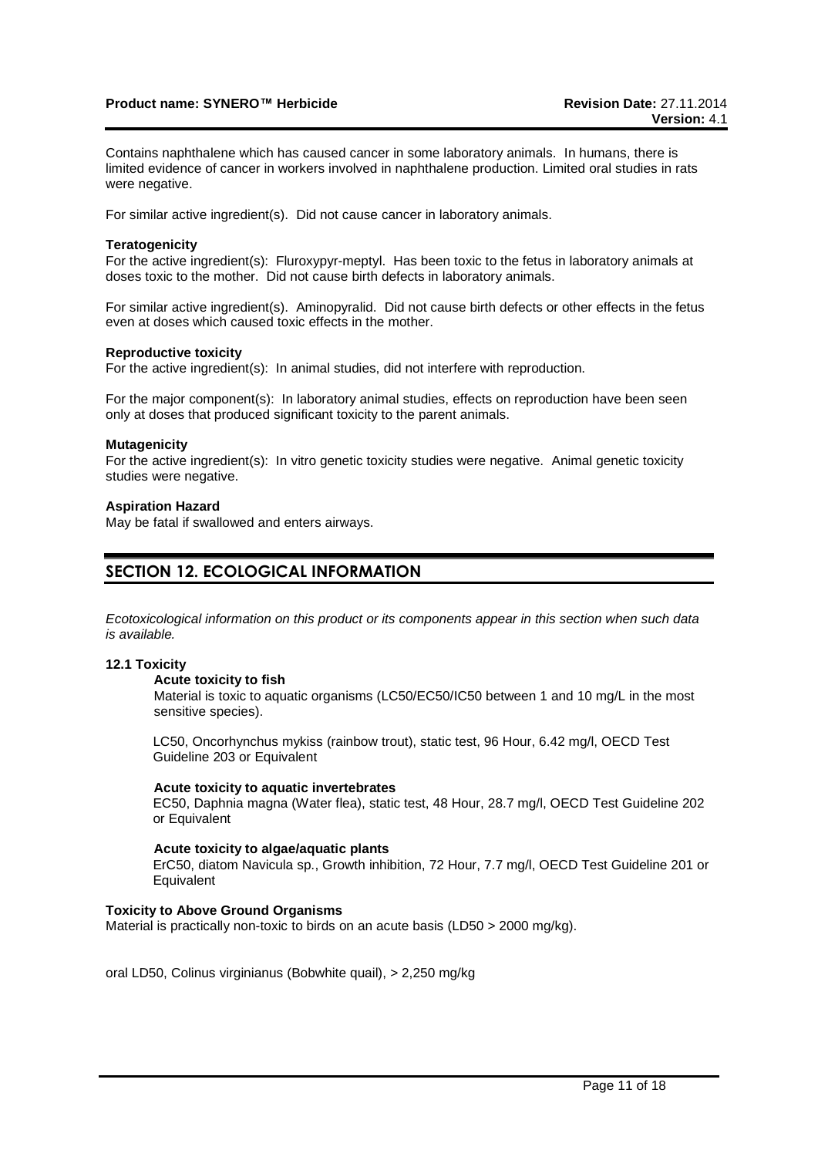Contains naphthalene which has caused cancer in some laboratory animals. In humans, there is limited evidence of cancer in workers involved in naphthalene production. Limited oral studies in rats were negative.

For similar active ingredient(s). Did not cause cancer in laboratory animals.

#### **Teratogenicity**

For the active ingredient(s): Fluroxypyr-meptyl. Has been toxic to the fetus in laboratory animals at doses toxic to the mother. Did not cause birth defects in laboratory animals.

For similar active ingredient(s). Aminopyralid. Did not cause birth defects or other effects in the fetus even at doses which caused toxic effects in the mother.

#### **Reproductive toxicity**

For the active ingredient(s): In animal studies, did not interfere with reproduction.

For the major component(s): In laboratory animal studies, effects on reproduction have been seen only at doses that produced significant toxicity to the parent animals.

#### **Mutagenicity**

For the active ingredient(s): In vitro genetic toxicity studies were negative. Animal genetic toxicity studies were negative.

#### **Aspiration Hazard**

May be fatal if swallowed and enters airways.

### **SECTION 12. ECOLOGICAL INFORMATION**

*Ecotoxicological information on this product or its components appear in this section when such data is available.*

#### **12.1 Toxicity**

#### **Acute toxicity to fish**

Material is toxic to aquatic organisms (LC50/EC50/IC50 between 1 and 10 mg/L in the most sensitive species).

LC50, Oncorhynchus mykiss (rainbow trout), static test, 96 Hour, 6.42 mg/l, OECD Test Guideline 203 or Equivalent

#### **Acute toxicity to aquatic invertebrates**

EC50, Daphnia magna (Water flea), static test, 48 Hour, 28.7 mg/l, OECD Test Guideline 202 or Equivalent

#### **Acute toxicity to algae/aquatic plants**

ErC50, diatom Navicula sp., Growth inhibition, 72 Hour, 7.7 mg/l, OECD Test Guideline 201 or **Equivalent** 

#### **Toxicity to Above Ground Organisms**

Material is practically non-toxic to birds on an acute basis (LD50 > 2000 mg/kg).

oral LD50, Colinus virginianus (Bobwhite quail), > 2,250 mg/kg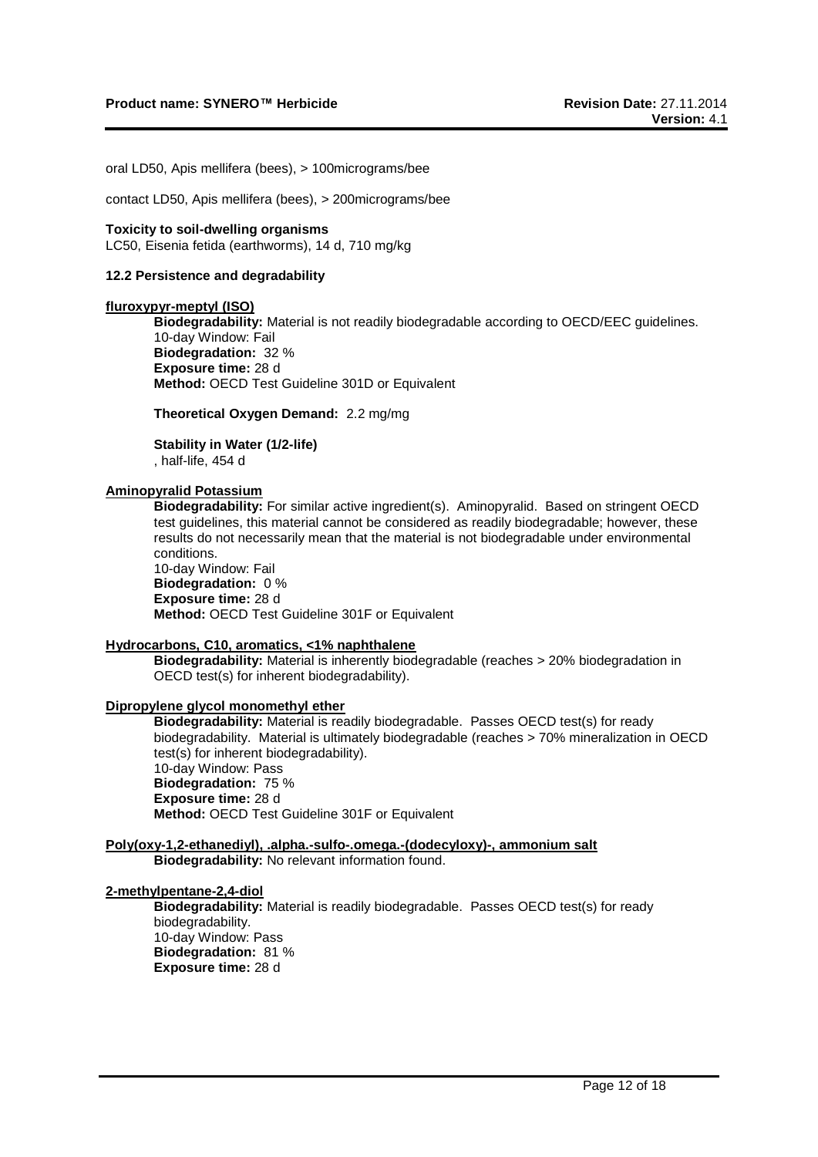oral LD50, Apis mellifera (bees), > 100micrograms/bee

contact LD50, Apis mellifera (bees), > 200micrograms/bee

#### **Toxicity to soil-dwelling organisms**

LC50, Eisenia fetida (earthworms), 14 d, 710 mg/kg

#### **12.2 Persistence and degradability**

#### **fluroxypyr-meptyl (ISO)**

**Biodegradability:** Material is not readily biodegradable according to OECD/EEC guidelines. 10-day Window: Fail **Biodegradation:** 32 % **Exposure time:** 28 d **Method:** OECD Test Guideline 301D or Equivalent

**Theoretical Oxygen Demand:** 2.2 mg/mg

**Stability in Water (1/2-life)**

, half-life, 454 d

#### **Aminopyralid Potassium**

**Biodegradability:** For similar active ingredient(s). Aminopyralid. Based on stringent OECD test guidelines, this material cannot be considered as readily biodegradable; however, these results do not necessarily mean that the material is not biodegradable under environmental conditions. 10-day Window: Fail

**Biodegradation:** 0 % **Exposure time:** 28 d **Method:** OECD Test Guideline 301F or Equivalent

#### **Hydrocarbons, C10, aromatics, <1% naphthalene**

**Biodegradability:** Material is inherently biodegradable (reaches > 20% biodegradation in OECD test(s) for inherent biodegradability).

#### **Dipropylene glycol monomethyl ether**

**Biodegradability:** Material is readily biodegradable. Passes OECD test(s) for ready biodegradability. Material is ultimately biodegradable (reaches > 70% mineralization in OECD test(s) for inherent biodegradability). 10-day Window: Pass

**Biodegradation:** 75 % **Exposure time:** 28 d **Method:** OECD Test Guideline 301F or Equivalent

#### **Poly(oxy-1,2-ethanediyl), .alpha.-sulfo-.omega.-(dodecyloxy)-, ammonium salt Biodegradability:** No relevant information found.

#### **2-methylpentane-2,4-diol**

**Biodegradability:** Material is readily biodegradable. Passes OECD test(s) for ready biodegradability. 10-day Window: Pass **Biodegradation:** 81 % **Exposure time:** 28 d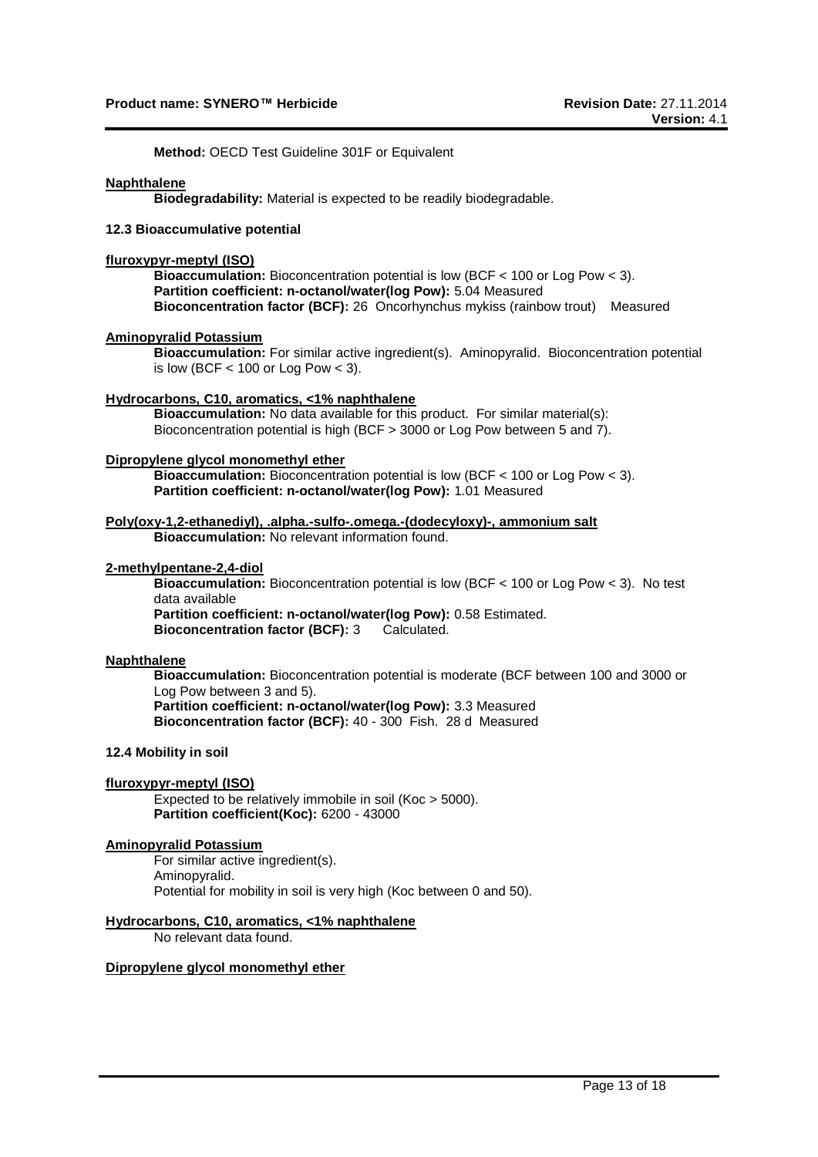**Method:** OECD Test Guideline 301F or Equivalent

#### **Naphthalene**

**Biodegradability:** Material is expected to be readily biodegradable.

#### **12.3 Bioaccumulative potential**

#### **fluroxypyr-meptyl (ISO)**

**Bioaccumulation:** Bioconcentration potential is low (BCF < 100 or Log Pow < 3). **Partition coefficient: n-octanol/water(log Pow):** 5.04 Measured **Bioconcentration factor (BCF):** 26 Oncorhynchus mykiss (rainbow trout) Measured

#### **Aminopyralid Potassium**

**Bioaccumulation:** For similar active ingredient(s). Aminopyralid. Bioconcentration potential is low (BCF  $<$  100 or Log Pow  $<$  3).

#### **Hydrocarbons, C10, aromatics, <1% naphthalene**

**Bioaccumulation:** No data available for this product. For similar material(s): Bioconcentration potential is high (BCF > 3000 or Log Pow between 5 and 7).

#### **Dipropylene glycol monomethyl ether**

**Bioaccumulation:** Bioconcentration potential is low (BCF < 100 or Log Pow < 3). **Partition coefficient: n-octanol/water(log Pow):** 1.01 Measured

**Poly(oxy-1,2-ethanediyl), .alpha.-sulfo-.omega.-(dodecyloxy)-, ammonium salt Bioaccumulation:** No relevant information found.

#### **2-methylpentane-2,4-diol**

**Bioaccumulation:** Bioconcentration potential is low (BCF < 100 or Log Pow < 3). No test data available **Partition coefficient: n-octanol/water(log Pow):** 0.58 Estimated. **Bioconcentration factor (BCF):** 3 Calculated.

#### **Naphthalene**

**Bioaccumulation:** Bioconcentration potential is moderate (BCF between 100 and 3000 or Log Pow between 3 and 5). **Partition coefficient: n-octanol/water(log Pow):** 3.3 Measured **Bioconcentration factor (BCF):** 40 - 300 Fish. 28 d Measured

#### **12.4 Mobility in soil**

#### **fluroxypyr-meptyl (ISO)**

Expected to be relatively immobile in soil (Koc > 5000). **Partition coefficient(Koc):** 6200 - 43000

### **Aminopyralid Potassium**

For similar active ingredient(s). Aminopyralid. Potential for mobility in soil is very high (Koc between 0 and 50).

#### **Hydrocarbons, C10, aromatics, <1% naphthalene**

No relevant data found.

#### **Dipropylene glycol monomethyl ether**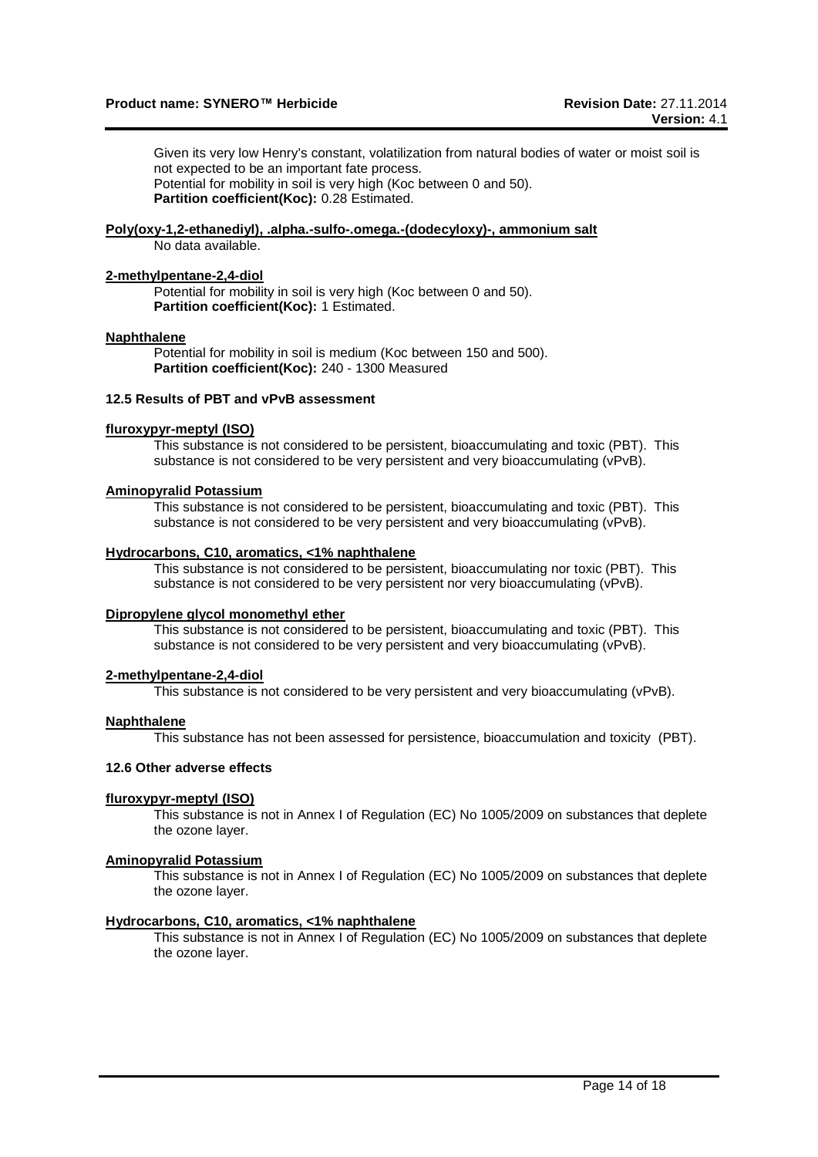Given its very low Henry's constant, volatilization from natural bodies of water or moist soil is not expected to be an important fate process. Potential for mobility in soil is very high (Koc between 0 and 50). **Partition coefficient(Koc):** 0.28 Estimated.

#### **Poly(oxy-1,2-ethanediyl), .alpha.-sulfo-.omega.-(dodecyloxy)-, ammonium salt** No data available.

# **2-methylpentane-2,4-diol**

Potential for mobility in soil is very high (Koc between 0 and 50). **Partition coefficient(Koc):** 1 Estimated.

#### **Naphthalene**

Potential for mobility in soil is medium (Koc between 150 and 500). Partition coefficient(Koc): 240 - 1300 Measured

#### **12.5 Results of PBT and vPvB assessment**

#### **fluroxypyr-meptyl (ISO)**

This substance is not considered to be persistent, bioaccumulating and toxic (PBT). This substance is not considered to be very persistent and very bioaccumulating (vPvB).

#### **Aminopyralid Potassium**

This substance is not considered to be persistent, bioaccumulating and toxic (PBT). This substance is not considered to be very persistent and very bioaccumulating (vPvB).

#### **Hydrocarbons, C10, aromatics, <1% naphthalene**

This substance is not considered to be persistent, bioaccumulating nor toxic (PBT). This substance is not considered to be very persistent nor very bioaccumulating (vPvB).

#### **Dipropylene glycol monomethyl ether**

This substance is not considered to be persistent, bioaccumulating and toxic (PBT). This substance is not considered to be very persistent and very bioaccumulating (vPvB).

#### **2-methylpentane-2,4-diol**

This substance is not considered to be very persistent and very bioaccumulating (vPvB).

#### **Naphthalene**

This substance has not been assessed for persistence, bioaccumulation and toxicity (PBT).

#### **12.6 Other adverse effects**

#### **fluroxypyr-meptyl (ISO)**

This substance is not in Annex I of Regulation (EC) No 1005/2009 on substances that deplete the ozone layer.

#### **Aminopyralid Potassium**

This substance is not in Annex I of Regulation (EC) No 1005/2009 on substances that deplete the ozone layer.

#### **Hydrocarbons, C10, aromatics, <1% naphthalene**

This substance is not in Annex I of Regulation (EC) No 1005/2009 on substances that deplete the ozone layer.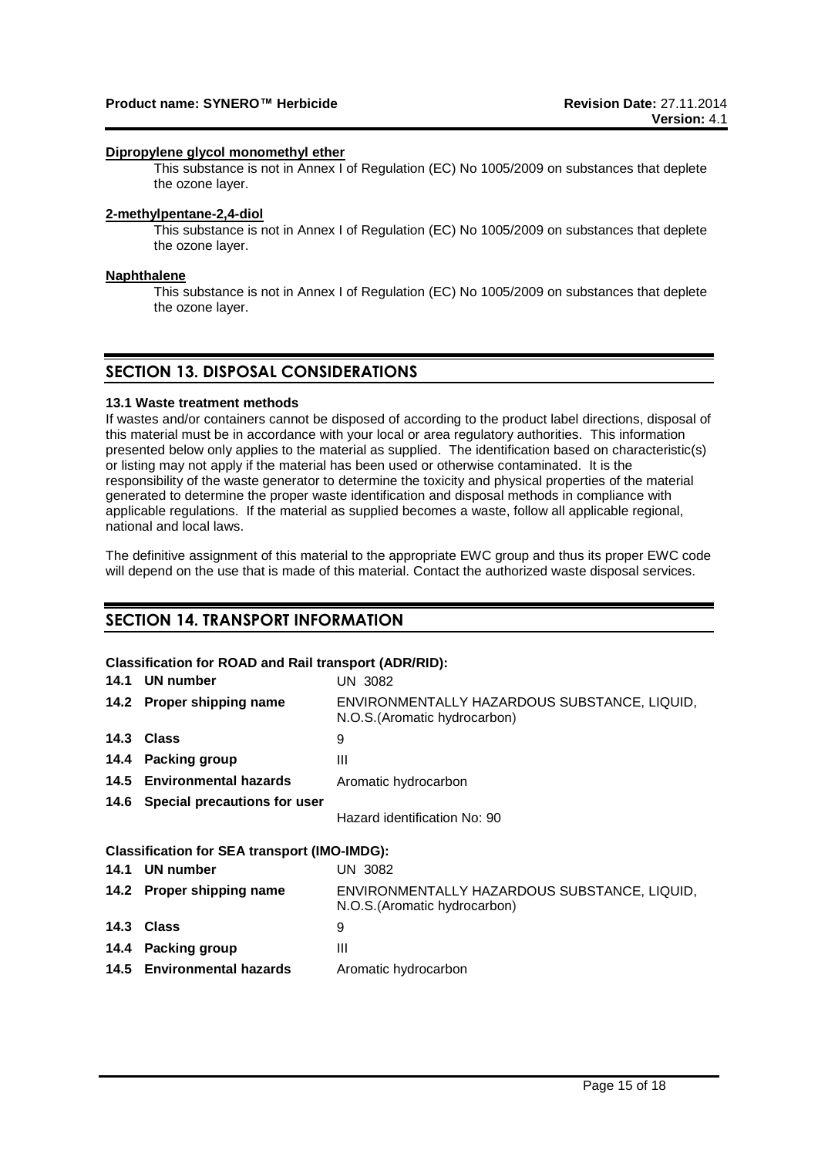#### **Dipropylene glycol monomethyl ether**

This substance is not in Annex I of Regulation (EC) No 1005/2009 on substances that deplete the ozone layer.

#### **2-methylpentane-2,4-diol**

This substance is not in Annex I of Regulation (EC) No 1005/2009 on substances that deplete the ozone layer.

#### **Naphthalene**

This substance is not in Annex I of Regulation (EC) No 1005/2009 on substances that deplete the ozone layer.

### **SECTION 13. DISPOSAL CONSIDERATIONS**

#### **13.1 Waste treatment methods**

If wastes and/or containers cannot be disposed of according to the product label directions, disposal of this material must be in accordance with your local or area regulatory authorities. This information presented below only applies to the material as supplied. The identification based on characteristic(s) or listing may not apply if the material has been used or otherwise contaminated. It is the responsibility of the waste generator to determine the toxicity and physical properties of the material generated to determine the proper waste identification and disposal methods in compliance with applicable regulations. If the material as supplied becomes a waste, follow all applicable regional, national and local laws.

The definitive assignment of this material to the appropriate EWC group and thus its proper EWC code will depend on the use that is made of this material. Contact the authorized waste disposal services.

### **SECTION 14. TRANSPORT INFORMATION**

#### **Classification for ROAD and Rail transport (ADR/RID):**

| 14.1 UN number                                      | UN 3082                                                                       |
|-----------------------------------------------------|-------------------------------------------------------------------------------|
| 14.2 Proper shipping name                           | ENVIRONMENTALLY HAZARDOUS SUBSTANCE, LIQUID,<br>N.O.S. (Aromatic hydrocarbon) |
| 14.3 Class                                          | 9                                                                             |
| 14.4 Packing group                                  | Ш                                                                             |
| 14.5 Environmental hazards                          | Aromatic hydrocarbon                                                          |
| 14.6 Special precautions for user                   | Hazard identification No: 90                                                  |
| <b>Classification for SEA transport (IMO-IMDG):</b> |                                                                               |
| 14.1 UN number                                      | <b>UN 3082</b>                                                                |
| 14.2 Proper shipping name                           | ENVIRONMENTALLY HAZARDOUS SUBSTANCE, LIQUID,<br>N.O.S. (Aromatic hydrocarbon) |
| 14.3 Class                                          | 9                                                                             |
| 14.4 Packing group                                  | Ш                                                                             |
| 14.5 Environmental hazards                          | Aromatic hydrocarbon                                                          |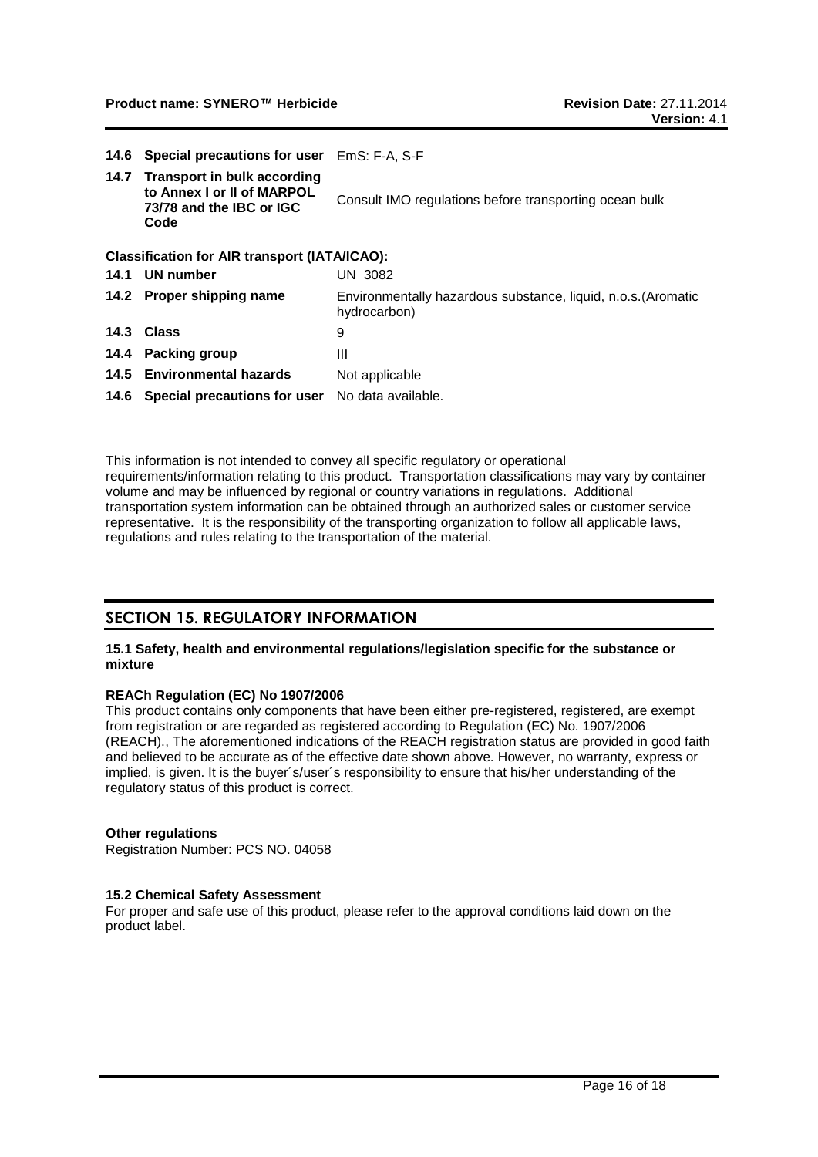|      | 14.6 Special precautions for user EmS: F-A, S-F                                                      |                                                                               |
|------|------------------------------------------------------------------------------------------------------|-------------------------------------------------------------------------------|
| 14.7 | <b>Transport in bulk according</b><br>to Annex I or II of MARPOL<br>73/78 and the IBC or IGC<br>Code | Consult IMO regulations before transporting ocean bulk                        |
|      | <b>Classification for AIR transport (IATA/ICAO):</b>                                                 |                                                                               |
|      | 14.1 UN number                                                                                       | UN 3082                                                                       |
|      | 14.2 Proper shipping name                                                                            | Environmentally hazardous substance, liquid, n.o.s. (Aromatic<br>hydrocarbon) |
|      | 14.3 Class                                                                                           | 9                                                                             |
|      | 14.4 Packing group                                                                                   | Ш                                                                             |
|      | 14.5 Environmental hazards                                                                           | Not applicable                                                                |
|      | 14.6 Special precautions for user                                                                    | No data available.                                                            |

This information is not intended to convey all specific regulatory or operational requirements/information relating to this product. Transportation classifications may vary by container volume and may be influenced by regional or country variations in regulations. Additional transportation system information can be obtained through an authorized sales or customer service representative. It is the responsibility of the transporting organization to follow all applicable laws, regulations and rules relating to the transportation of the material.

### **SECTION 15. REGULATORY INFORMATION**

#### **15.1 Safety, health and environmental regulations/legislation specific for the substance or mixture**

#### **REACh Regulation (EC) No 1907/2006**

This product contains only components that have been either pre-registered, registered, are exempt from registration or are regarded as registered according to Regulation (EC) No. 1907/2006 (REACH)., The aforementioned indications of the REACH registration status are provided in good faith and believed to be accurate as of the effective date shown above. However, no warranty, express or implied, is given. It is the buyer´s/user´s responsibility to ensure that his/her understanding of the regulatory status of this product is correct.

#### **Other regulations**

Registration Number: PCS NO. 04058

#### **15.2 Chemical Safety Assessment**

For proper and safe use of this product, please refer to the approval conditions laid down on the product label.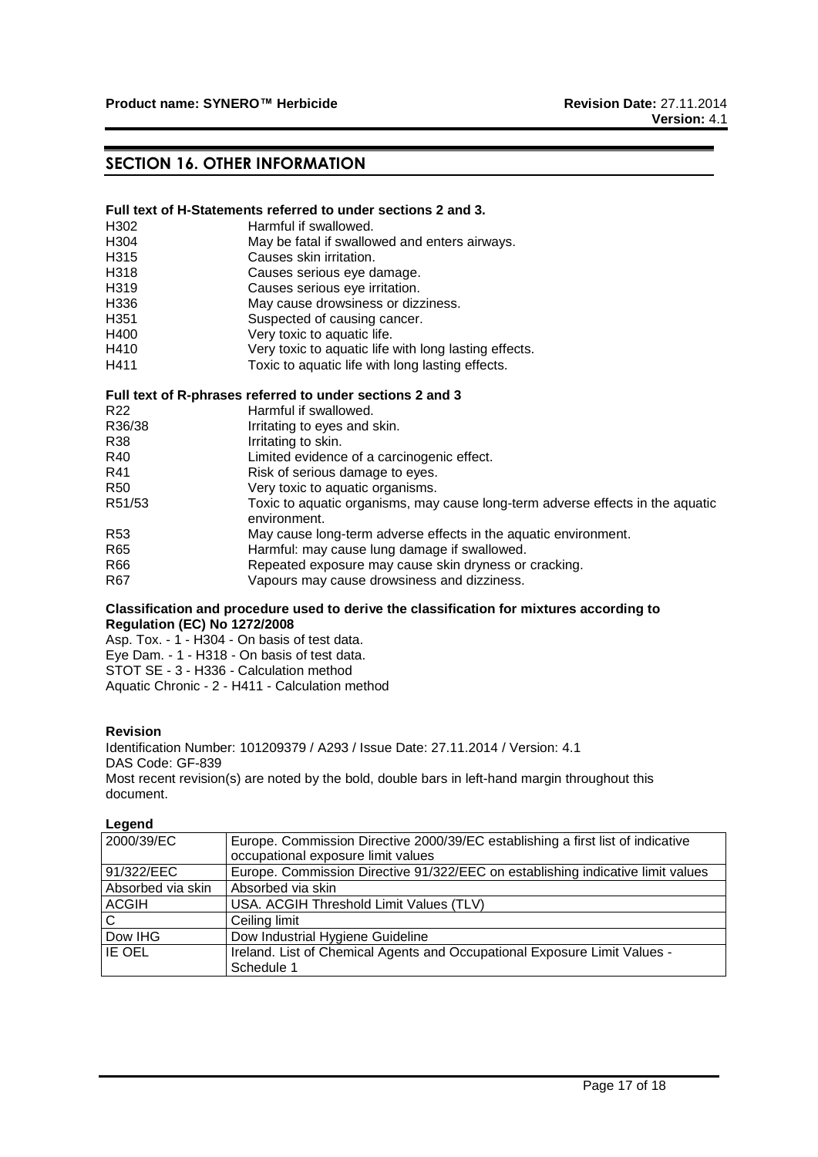### **SECTION 16. OTHER INFORMATION**

#### **Full text of H-Statements referred to under sections 2 and 3.**

| H302 | Harmful if swallowed.                                 |
|------|-------------------------------------------------------|
| H304 | May be fatal if swallowed and enters airways.         |
| H315 | Causes skin irritation.                               |
| H318 | Causes serious eye damage.                            |
| H319 | Causes serious eye irritation.                        |
| H336 | May cause drowsiness or dizziness.                    |
| H351 | Suspected of causing cancer.                          |
| H400 | Very toxic to aquatic life.                           |
| H410 | Very toxic to aquatic life with long lasting effects. |
| H411 | Toxic to aquatic life with long lasting effects.      |
|      |                                                       |

#### **Full text of R-phrases referred to under sections 2 and 3**

| R <sub>22</sub> | Harmful if swallowed.                                                                          |
|-----------------|------------------------------------------------------------------------------------------------|
| R36/38          | Irritating to eyes and skin.                                                                   |
| R38             | Irritating to skin.                                                                            |
| R40             | Limited evidence of a carcinogenic effect.                                                     |
| R41             | Risk of serious damage to eyes.                                                                |
| R <sub>50</sub> | Very toxic to aquatic organisms.                                                               |
| R51/53          | Toxic to aquatic organisms, may cause long-term adverse effects in the aquatic<br>environment. |
| R <sub>53</sub> | May cause long-term adverse effects in the aquatic environment.                                |
| R <sub>65</sub> | Harmful: may cause lung damage if swallowed.                                                   |
| R66             | Repeated exposure may cause skin dryness or cracking.                                          |
| R <sub>67</sub> | Vapours may cause drowsiness and dizziness.                                                    |
|                 |                                                                                                |

#### **Classification and procedure used to derive the classification for mixtures according to Regulation (EC) No 1272/2008**

Asp. Tox. - 1 - H304 - On basis of test data. Eye Dam. - 1 - H318 - On basis of test data. STOT SE - 3 - H336 - Calculation method Aquatic Chronic - 2 - H411 - Calculation method

#### **Revision**

Identification Number: 101209379 / A293 / Issue Date: 27.11.2014 / Version: 4.1 DAS Code: GF-839 Most recent revision(s) are noted by the bold, double bars in left-hand margin throughout this document.

### **Legend**

| 2000/39/EC        | Europe. Commission Directive 2000/39/EC establishing a first list of indicative |
|-------------------|---------------------------------------------------------------------------------|
|                   | occupational exposure limit values                                              |
| 91/322/EEC        | Europe. Commission Directive 91/322/EEC on establishing indicative limit values |
| Absorbed via skin | Absorbed via skin                                                               |
| <b>ACGIH</b>      | USA. ACGIH Threshold Limit Values (TLV)                                         |
| $\mathbf C$       | Ceiling limit                                                                   |
| Dow IHG           | Dow Industrial Hygiene Guideline                                                |
| <b>IE OEL</b>     | Ireland. List of Chemical Agents and Occupational Exposure Limit Values -       |
|                   | Schedule 1                                                                      |